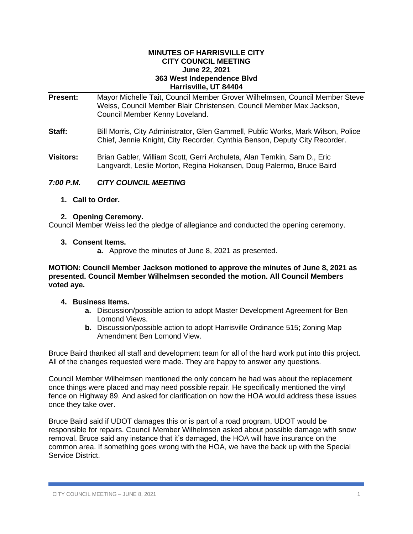#### **MINUTES OF HARRISVILLE CITY CITY COUNCIL MEETING June 22, 2021 363 West Independence Blvd Harrisville, UT 84404**

| <b>Present:</b>  | Mayor Michelle Tait, Council Member Grover Wilhelmsen, Council Member Steve<br>Weiss, Council Member Blair Christensen, Council Member Max Jackson,<br>Council Member Kenny Loveland. |  |
|------------------|---------------------------------------------------------------------------------------------------------------------------------------------------------------------------------------|--|
| Staff:           | Bill Morris, City Administrator, Glen Gammell, Public Works, Mark Wilson, Police<br>Chief, Jennie Knight, City Recorder, Cynthia Benson, Deputy City Recorder.                        |  |
| <b>Visitors:</b> | Brian Gabler, William Scott, Gerri Archuleta, Alan Temkin, Sam D., Eric<br>Langvardt, Leslie Morton, Regina Hokansen, Doug Palermo, Bruce Baird                                       |  |

# *7:00 P.M. CITY COUNCIL MEETING*

**1. Call to Order.**

# **2. Opening Ceremony.**

Council Member Weiss led the pledge of allegiance and conducted the opening ceremony.

#### **3. Consent Items.**

**a.** Approve the minutes of June 8, 2021 as presented.

#### **MOTION: Council Member Jackson motioned to approve the minutes of June 8, 2021 as presented. Council Member Wilhelmsen seconded the motion. All Council Members voted aye.**

#### **4. Business Items.**

- **a.** Discussion/possible action to adopt Master Development Agreement for Ben Lomond Views.
- **b.** Discussion/possible action to adopt Harrisville Ordinance 515; Zoning Map Amendment Ben Lomond View.

Bruce Baird thanked all staff and development team for all of the hard work put into this project. All of the changes requested were made. They are happy to answer any questions.

Council Member Wilhelmsen mentioned the only concern he had was about the replacement once things were placed and may need possible repair. He specifically mentioned the vinyl fence on Highway 89. And asked for clarification on how the HOA would address these issues once they take over.

Bruce Baird said if UDOT damages this or is part of a road program, UDOT would be responsible for repairs. Council Member Wilhelmsen asked about possible damage with snow removal. Bruce said any instance that it's damaged, the HOA will have insurance on the common area. If something goes wrong with the HOA, we have the back up with the Special Service District.